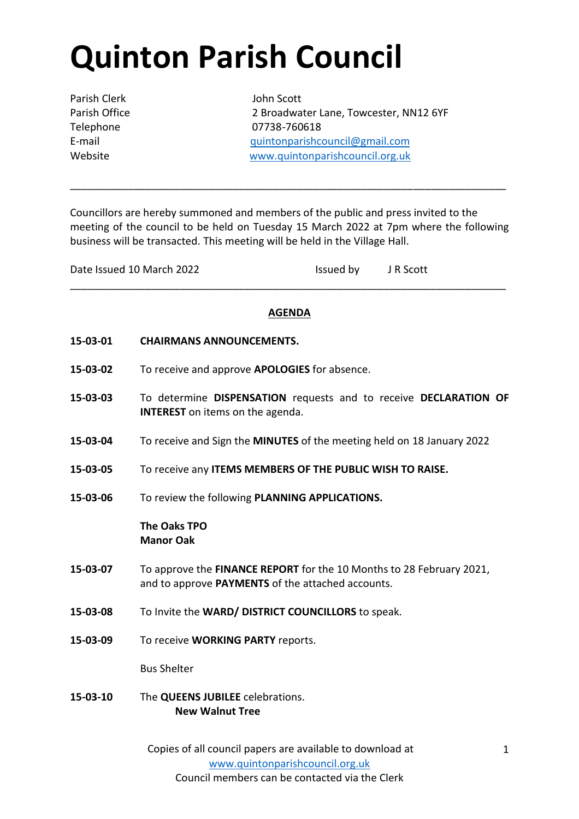## **Quinton Parish Council**

Parish Clerk John Scott

Parish Office 2 Broadwater Lane, Towcester, NN12 6YF Telephone 07738-760618 E-mail [quintonparishcouncil@gmail.com](mailto:quintonparishcouncil@gmail.com) Website [www.quintonparishcouncil.org.uk](http://www.quintonparishcouncil.org.uk/)

Councillors are hereby summoned and members of the public and press invited to the meeting of the council to be held on Tuesday 15 March 2022 at 7pm where the following business will be transacted. This meeting will be held in the Village Hall.

\_\_\_\_\_\_\_\_\_\_\_\_\_\_\_\_\_\_\_\_\_\_\_\_\_\_\_\_\_\_\_\_\_\_\_\_\_\_\_\_\_\_\_\_\_\_\_\_\_\_\_\_\_\_\_\_\_\_\_\_\_\_\_\_\_\_\_\_\_\_\_\_\_\_\_

| Date Issued 10 March 2022 | Issued by | J R Scott |
|---------------------------|-----------|-----------|
|                           |           |           |

## **AGENDA**

\_\_\_\_\_\_\_\_\_\_\_\_\_\_\_\_\_\_\_\_\_\_\_\_\_\_\_\_\_\_\_\_\_\_\_\_\_\_\_\_\_\_\_\_\_\_\_\_\_\_\_\_\_\_\_\_\_\_\_\_\_\_\_\_\_\_\_\_\_\_\_\_\_\_\_

- **15-03-01 CHAIRMANS ANNOUNCEMENTS.**
- **15-03-02** To receive and approve **APOLOGIES** for absence.
- **15-03-03** To determine **DISPENSATION** requests and to receive **DECLARATION OF INTEREST** on items on the agenda.
- **15-03-04** To receive and Sign the **MINUTES** of the meeting held on 18 January 2022
- **15-03-05** To receive any **ITEMS MEMBERS OF THE PUBLIC WISH TO RAISE.**
- **15-03-06** To review the following **PLANNING APPLICATIONS.**

## **The Oaks TPO Manor Oak**

- **15-03-07** To approve the **FINANCE REPORT** for the 10 Months to 28 February 2021, and to approve **PAYMENTS** of the attached accounts.
- **15-03-08** To Invite the **WARD/ DISTRICT COUNCILLORS** to speak.
- **15-03-09** To receive **WORKING PARTY** reports.

Bus Shelter

**15-03-10** The **QUEENS JUBILEE** celebrations. **New Walnut Tree**